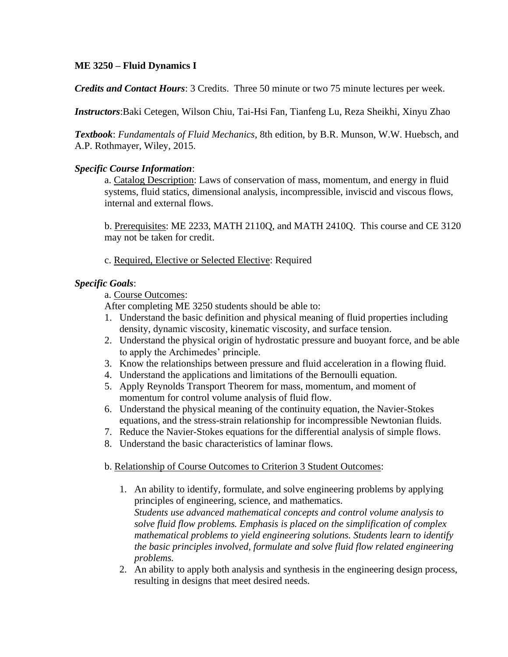# **ME 3250 – Fluid Dynamics I**

*Credits and Contact Hours*: 3 Credits. Three 50 minute or two 75 minute lectures per week.

*Instructors*:Baki Cetegen, Wilson Chiu, Tai-Hsi Fan, Tianfeng Lu, Reza Sheikhi, Xinyu Zhao

*Textbook*: *Fundamentals of Fluid Mechanics,* 8th edition, by B.R. Munson, W.W. Huebsch, and A.P. Rothmayer, Wiley, 2015.

#### *Specific Course Information*:

a. Catalog Description: Laws of conservation of mass, momentum, and energy in fluid systems, fluid statics, dimensional analysis, incompressible, inviscid and viscous flows, internal and external flows.

b. Prerequisites: ME 2233, MATH 2110Q, and MATH 2410Q. This course and CE 3120 may not be taken for credit.

c. Required, Elective or Selected Elective: Required

# *Specific Goals*:

a. Course Outcomes:

After completing ME 3250 students should be able to:

- 1. Understand the basic definition and physical meaning of fluid properties including density, dynamic viscosity, kinematic viscosity, and surface tension.
- 2. Understand the physical origin of hydrostatic pressure and buoyant force, and be able to apply the Archimedes' principle.
- 3. Know the relationships between pressure and fluid acceleration in a flowing fluid.
- 4. Understand the applications and limitations of the Bernoulli equation.
- 5. Apply Reynolds Transport Theorem for mass, momentum, and moment of momentum for control volume analysis of fluid flow.
- 6. Understand the physical meaning of the continuity equation, the Navier-Stokes equations, and the stress-strain relationship for incompressible Newtonian fluids.
- 7. Reduce the Navier-Stokes equations for the differential analysis of simple flows.
- 8. Understand the basic characteristics of laminar flows.

#### b. Relationship of Course Outcomes to Criterion 3 Student Outcomes:

- 1. An ability to identify, formulate, and solve engineering problems by applying principles of engineering, science, and mathematics. *Students use advanced mathematical concepts and control volume analysis to solve fluid flow problems. Emphasis is placed on the simplification of complex mathematical problems to yield engineering solutions. Students learn to identify the basic principles involved, formulate and solve fluid flow related engineering problems.*
- 2. An ability to apply both analysis and synthesis in the engineering design process, resulting in designs that meet desired needs.